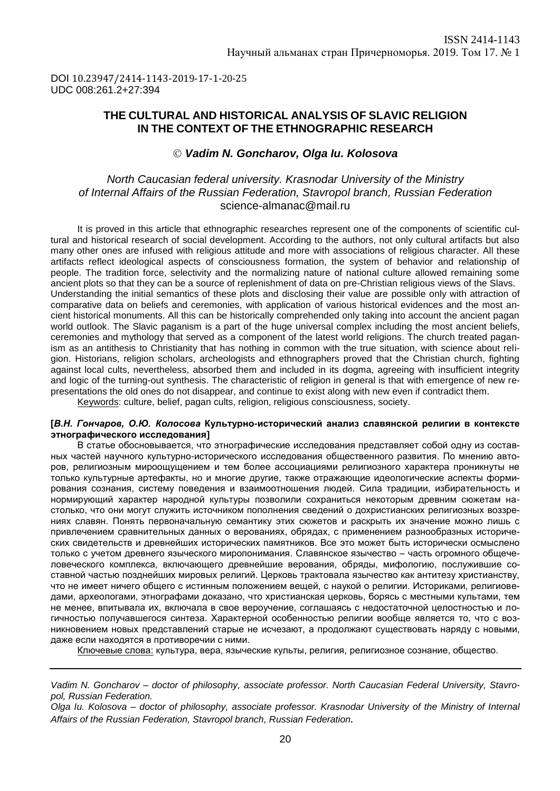DOI 10.23947/2414-1143-2019-17-1-20-25 UDC 008:261.2+27:394

## **THE CULTURAL AND HISTORICAL ANALYSIS OF SLAVIC RELIGION IN THE CONTEXT OF THE ETHNOGRAPHIC RESEARCH**

### *Vadim N. Goncharov, Olga Iu. Kolosova*

### *North Caucasian federal university. Krasnodar University of the Ministry of Internal Affairs of the Russian Federation, Stavropol branch, Russian Federation* [science-almanac@mail.ru](mailto:science-almanac@mail.ru)

It is proved in this article that ethnographic researches represent one of the components of scientific cultural and historical research of social development. According to the authors, not only cultural artifacts but also many other ones are infused with religious attitude and more with associations of religious character. All these artifacts reflect ideological aspects of consciousness formation, the system of behavior and relationship of people. The tradition force, selectivity and the normalizing nature of national culture allowed remaining some ancient plots so that they can be a source of replenishment of data on pre-Christian religious views of the Slavs. Understanding the initial semantics of these plots and disclosing their value are possible only with attraction of comparative data on beliefs and ceremonies, with application of various historical evidences and the most ancient historical monuments. All this can be historically comprehended only taking into account the ancient pagan world outlook. The Slavic paganism is a part of the huge universal complex including the most ancient beliefs, ceremonies and mythology that served as a component of the latest world religions. The church treated paganism as an antithesis to Christianity that has nothing in common with the true situation, with science about religion. Historians, religion scholars, archeologists and ethnographers proved that the Christian church, fighting against local cults, nevertheless, absorbed them and included in its dogma, agreeing with insufficient integrity and logic of the turning-out synthesis. The characteristic of religion in general is that with emergence of new representations the old ones do not disappear, and continue to exist along with new even if contradict them.

Keywords: culture, belief, pagan cults, religion, religious consciousness, society.

#### **[***В.Н. Гончаров, О.Ю. Колосова* **Культурно-исторический анализ славянской религии в контексте этнографического исследования]**

В статье обосновывается, что этнографические исследования представляет собой одну из составных частей научного культурно-исторического исследования общественного развития. По мнению авторов, религиозным мироощущением и тем более ассоциациями религиозного характера проникнуты не только культурные артефакты, но и многие другие, также отражающие идеологические аспекты формирования сознания, систему поведения и взаимоотношения людей. Сила традиции, избирательность и нормирующий характер народной культуры позволили сохраниться некоторым древним сюжетам настолько, что они могут служить источником пополнения сведений о дохристианских религиозных воззрениях славян. Понять первоначальную семантику этих сюжетов и раскрыть их значение можно лишь с привлечением сравнительных данных о верованиях, обрядах, с применением разнообразных исторических свидетельств и древнейших исторических памятников. Все это может быть исторически осмыслено только с учетом древнего языческого миропонимания. Славянское язычество – часть огромного общечеловеческого комплекса, включающего древнейшие верования, обряды, мифологию, послужившие составной частью позднейших мировых религий. Церковь трактовала язычество как антитезу христианству, что не имеет ничего общего с истинным положением вещей, с наукой о религии. Историками, религиоведами, археологами, этнографами доказано, что христианская церковь, борясь с местными культами, тем не менее, впитывала их, включала в свое вероучение, соглашаясь с недостаточной целостностью и логичностью получавшегося синтеза. Характерной особенностью религии вообще является то, что с возникновением новых представлений старые не исчезают, а продолжают существовать наряду с новыми, даже если находятся в противоречии с ними.

Ключевые слова: культура, вера, языческие культы, религия, религиозное сознание, общество.

*Vadim N. Goncharov – doctor of philosophy, associate professor. North Caucasian Federal University, Stavropol, Russian Federation.*

*Olga Iu. Kolosova – doctor of philosophy, associate professor. Krasnodar University of the Ministry of Internal Affairs of the Russian Federation, Stavropol branch, Russian Federation.*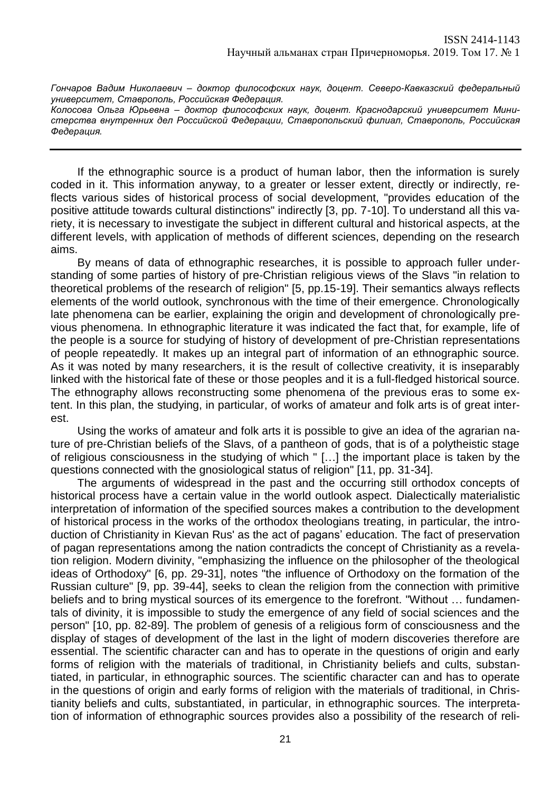*Гончаров Вадим Николаевич – доктор философских наук, доцент. Северо-Кавказский федеральный университет, Ставрополь, Российская Федерация.*

*Колосова Ольга Юрьевна – доктор философских наук, доцент. Краснодарский университет Министерства внутренних дел Российской Федерации, Ставропольский филиал, Ставрополь, Российская Федерация.*

If the ethnographic source is a product of human labor, then the information is surely coded in it. This information anyway, to a greater or lesser extent, directly or indirectly, reflects various sides of historical process of social development, "provides education of the positive attitude towards cultural distinctions" indirectly [3, pp. 7-10]. To understand all this variety, it is necessary to investigate the subject in different cultural and historical aspects, at the different levels, with application of methods of different sciences, depending on the research aims.

By means of data of ethnographic researches, it is possible to approach fuller understanding of some parties of history of pre-Christian religious views of the Slavs "in relation to theoretical problems of the research of religion" [5, pp.15-19]. Their semantics always reflects elements of the world outlook, synchronous with the time of their emergence. Chronologically late phenomena can be earlier, explaining the origin and development of chronologically previous phenomena. In ethnographic literature it was indicated the fact that, for example, life of the people is a source for studying of history of development of pre-Christian representations of people repeatedly. It makes up an integral part of information of an ethnographic source. As it was noted by many researchers, it is the result of collective creativity, it is inseparably linked with the historical fate of these or those peoples and it is a full-fledged historical source. The ethnography allows reconstructing some phenomena of the previous eras to some extent. In this plan, the studying, in particular, of works of amateur and folk arts is of great interest.

Using the works of amateur and folk arts it is possible to give an idea of the agrarian nature of pre-Christian beliefs of the Slavs, of a pantheon of gods, that is of a polytheistic stage of religious consciousness in the studying of which " […] the important place is taken by the questions connected with the gnosiological status of religion" [11, pp. 31-34].

The arguments of widespread in the past and the occurring still orthodox concepts of historical process have a certain value in the world outlook aspect. Dialectically materialistic interpretation of information of the specified sources makes a contribution to the development of historical process in the works of the orthodox theologians treating, in particular, the introduction of Christianity in Kievan Rus' as the act of pagans' education. The fact of preservation of pagan representations among the nation contradicts the concept of Christianity as a revelation religion. Modern divinity, "emphasizing the influence on the philosopher of the theological ideas of Orthodoxy" [6, pp. 29-31], notes "the influence of Orthodoxy on the formation of the Russian culture" [9, pp. 39-44], seeks to clean the religion from the connection with primitive beliefs and to bring mystical sources of its emergence to the forefront. "Without … fundamentals of divinity, it is impossible to study the emergence of any field of social sciences and the person" [10, pp. 82-89]. The problem of genesis of a religious form of consciousness and the display of stages of development of the last in the light of modern discoveries therefore are essential. The scientific character can and has to operate in the questions of origin and early forms of religion with the materials of traditional, in Christianity beliefs and cults, substantiated, in particular, in ethnographic sources. The scientific character can and has to operate in the questions of origin and early forms of religion with the materials of traditional, in Christianity beliefs and cults, substantiated, in particular, in ethnographic sources. The interpretation of information of ethnographic sources provides also a possibility of the research of reli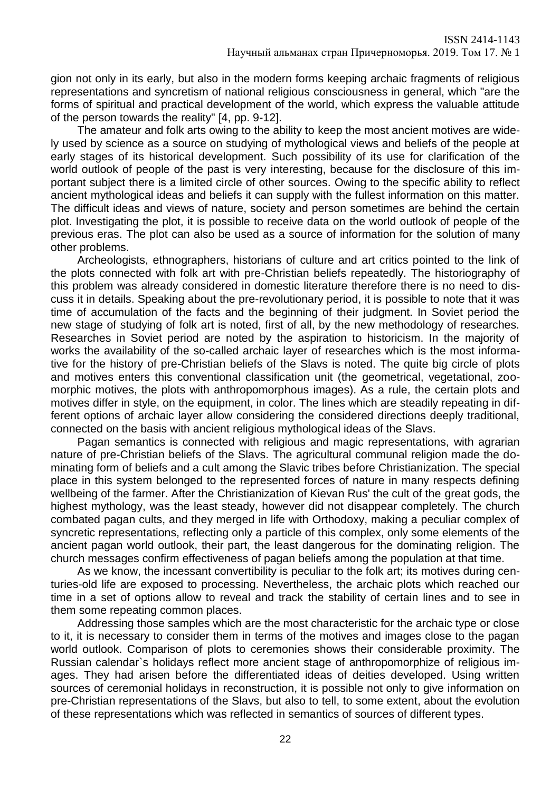gion not only in its early, but also in the modern forms keeping archaic fragments of religious representations and syncretism of national religious consciousness in general, which "are the forms of spiritual and practical development of the world, which express the valuable attitude of the person towards the reality" [4, pp. 9-12].

The amateur and folk arts owing to the ability to keep the most ancient motives are widely used by science as a source on studying of mythological views and beliefs of the people at early stages of its historical development. Such possibility of its use for clarification of the world outlook of people of the past is very interesting, because for the disclosure of this important subject there is a limited circle of other sources. Owing to the specific ability to reflect ancient mythological ideas and beliefs it can supply with the fullest information on this matter. The difficult ideas and views of nature, society and person sometimes are behind the certain plot. Investigating the plot, it is possible to receive data on the world outlook of people of the previous eras. The plot can also be used as a source of information for the solution of many other problems.

Archeologists, ethnographers, historians of culture and art critics pointed to the link of the plots connected with folk art with pre-Christian beliefs repeatedly. The historiography of this problem was already considered in domestic literature therefore there is no need to discuss it in details. Speaking about the pre-revolutionary period, it is possible to note that it was time of accumulation of the facts and the beginning of their judgment. In Soviet period the new stage of studying of folk art is noted, first of all, by the new methodology of researches. Researches in Soviet period are noted by the aspiration to historicism. In the majority of works the availability of the so-called archaic layer of researches which is the most informative for the history of pre-Christian beliefs of the Slavs is noted. The quite big circle of plots and motives enters this conventional classification unit (the geometrical, vegetational, zoomorphic motives, the plots with anthropomorphous images). As a rule, the certain plots and motives differ in style, on the equipment, in color. The lines which are steadily repeating in different options of archaic layer allow considering the considered directions deeply traditional, connected on the basis with ancient religious mythological ideas of the Slavs.

Pagan semantics is connected with religious and magic representations, with agrarian nature of pre-Christian beliefs of the Slavs. The agricultural communal religion made the dominating form of beliefs and a cult among the Slavic tribes before Christianization. The special place in this system belonged to the represented forces of nature in many respects defining wellbeing of the farmer. After the Christianization of Kievan Rus' the cult of the great gods, the highest mythology, was the least steady, however did not disappear completely. The church combated pagan cults, and they merged in life with Orthodoxy, making a peculiar complex of syncretic representations, reflecting only a particle of this complex, only some elements of the ancient pagan world outlook, their part, the least dangerous for the dominating religion. The church messages confirm effectiveness of pagan beliefs among the population at that time.

As we know, the incessant convertibility is peculiar to the folk art; its motives during centuries-old life are exposed to processing. Nevertheless, the archaic plots which reached our time in a set of options allow to reveal and track the stability of certain lines and to see in them some repeating common places.

Addressing those samples which are the most characteristic for the archaic type or close to it, it is necessary to consider them in terms of the motives and images close to the pagan world outlook. Comparison of plots to ceremonies shows their considerable proximity. The Russian calendar`s holidays reflect more ancient stage of anthropomorphize of religious images. They had arisen before the differentiated ideas of deities developed. Using written sources of ceremonial holidays in reconstruction, it is possible not only to give information on pre-Christian representations of the Slavs, but also to tell, to some extent, about the evolution of these representations which was reflected in semantics of sources of different types.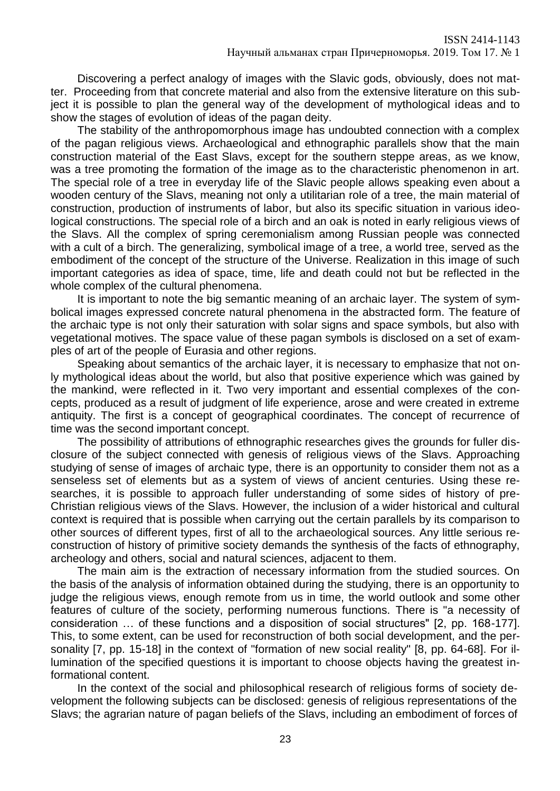Discovering a perfect analogy of images with the Slavic gods, obviously, does not matter. Proceeding from that concrete material and also from the extensive literature on this subject it is possible to plan the general way of the development of mythological ideas and to show the stages of evolution of ideas of the pagan deity.

The stability of the anthropomorphous image has undoubted connection with a complex of the pagan religious views. Archaeological and ethnographic parallels show that the main construction material of the East Slavs, except for the southern steppe areas, as we know, was a tree promoting the formation of the image as to the characteristic phenomenon in art. The special role of a tree in everyday life of the Slavic people allows speaking even about a wooden century of the Slavs, meaning not only a utilitarian role of a tree, the main material of construction, production of instruments of labor, but also its specific situation in various ideological constructions. The special role of a birch and an oak is noted in early religious views of the Slavs. All the complex of spring ceremonialism among Russian people was connected with a cult of a birch. The generalizing, symbolical image of a tree, a world tree, served as the embodiment of the concept of the structure of the Universe. Realization in this image of such important categories as idea of space, time, life and death could not but be reflected in the whole complex of the cultural phenomena.

It is important to note the big semantic meaning of an archaic layer. The system of symbolical images expressed concrete natural phenomena in the abstracted form. The feature of the archaic type is not only their saturation with solar signs and space symbols, but also with vegetational motives. The space value of these pagan symbols is disclosed on a set of examples of art of the people of Eurasia and other regions.

Speaking about semantics of the archaic layer, it is necessary to emphasize that not only mythological ideas about the world, but also that positive experience which was gained by the mankind, were reflected in it. Two very important and essential complexes of the concepts, produced as a result of judgment of life experience, arose and were created in extreme antiquity. The first is a concept of geographical coordinates. The concept of recurrence of time was the second important concept.

The possibility of attributions of ethnographic researches gives the grounds for fuller disclosure of the subject connected with genesis of religious views of the Slavs. Approaching studying of sense of images of archaic type, there is an opportunity to consider them not as a senseless set of elements but as a system of views of ancient centuries. Using these researches, it is possible to approach fuller understanding of some sides of history of pre-Christian religious views of the Slavs. However, the inclusion of a wider historical and cultural context is required that is possible when carrying out the certain parallels by its comparison to other sources of different types, first of all to the archaeological sources. Any little serious reconstruction of history of primitive society demands the synthesis of the facts of ethnography, archeology and others, social and natural sciences, adjacent to them.

The main aim is the extraction of necessary information from the studied sources. On the basis of the analysis of information obtained during the studying, there is an opportunity to judge the religious views, enough remote from us in time, the world outlook and some other features of culture of the society, performing numerous functions. There is "a necessity of consideration … of these functions and a disposition of social structures" [2, pp. 168-177]. This, to some extent, can be used for reconstruction of both social development, and the personality [7, pp. 15-18] in the context of "formation of new social reality" [8, pp. 64-68]. For illumination of the specified questions it is important to choose objects having the greatest informational content.

In the context of the social and philosophical research of religious forms of society development the following subjects can be disclosed: genesis of religious representations of the Slavs; the agrarian nature of pagan beliefs of the Slavs, including an embodiment of forces of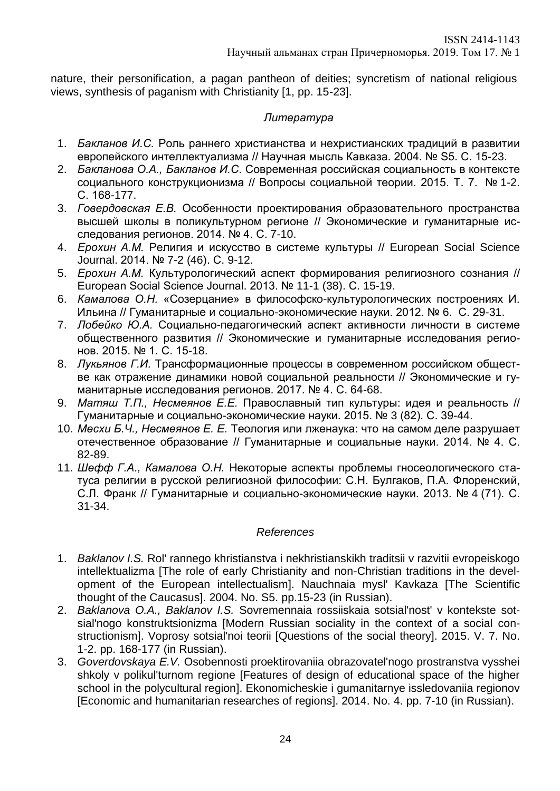nature, their personification, a pagan pantheon of deities; syncretism of national religious views, synthesis of paganism with Christianity [1, pp. 15-23].

# *Литература*

- 1. *Бакланов И.С.* Роль раннего христианства и нехристианских традиций в развитии европейского интеллектуализма // Научная мысль Кавказа. 2004. № S5. С. 15-23.
- 2. *Бакланова О.А., Бакланов И.С*. Современная российская социальность в контексте социального конструкционизма // Вопросы социальной теории. 2015. Т. 7. № 1-2. С. 168-177.
- 3. *Говердовская Е.В.* Особенности проектирования образовательного пространства высшей школы в поликультурном регионе // Экономические и гуманитарные исследования регионов. 2014. № 4. С. 7-10.
- 4. *Ерохин А.М.* Религия и искусство в системе культуры // European Social Science Journal. 2014. № 7-2 (46). С. 9-12.
- 5. *Ерохин А.М.* Культурологический аспект формирования религиозного сознания // European Social Science Journal. 2013. № 11-1 (38). С. 15-19.
- 6. *Камалова О.Н.* «Созерцание» в философско-культурологических построениях И. Ильина // Гуманитарные и социально-экономические науки. 2012. № 6. С. 29-31.
- 7. *Лобейко Ю.А.* Социально-педагогический аспект активности личности в системе общественного развития // Экономические и гуманитарные исследования регионов. 2015. № 1. С. 15-18.
- 8. *Лукьянов Г.И.* Трансформационные процессы в современном российском обществе как отражение динамики новой социальной реальности // Экономические и гуманитарные исследования регионов. 2017. № 4. С. 64-68.
- 9. *Матяш Т.П., Несмеянов Е.Е.* Православный тип культуры: идея и реальность // Гуманитарные и социально-экономические науки. 2015. № 3 (82). С. 39-44.
- 10. *Месхи Б.Ч., Несмеянов Е. Е.* Теология или лженаука: что на самом деле разрушает отечественное образование // Гуманитарные и социальные науки. 2014. № 4. С. 82-89.
- 11. *Шефф Г.А., Камалова О.Н.* Некоторые аспекты проблемы гносеологического статуса религии в русской религиозной философии: С.Н. Булгаков, П.А. Флоренский, С.Л. Франк // Гуманитарные и социально-экономические науки. 2013. № 4 (71). С. 31-34.

## *References*

- 1. *Baklanov I.S.* Rol' rannego khristianstva i nekhristianskikh traditsii v razvitii evropeiskogo intellektualizma [The role of early Christianity and non-Christian traditions in the development of the European intellectualism]. Nauchnaia mysl' Kavkaza [The Scientific thought of the Caucasus]. 2004. No. S5. pp.15-23 (in Russian).
- 2. *Baklanova O.A., Baklanov I.S.* Sovremennaia rossiiskaia sotsial'nost' v kontekste sotsial'nogo konstruktsionizma [Modern Russian sociality in the context of a social constructionism]. Voprosy sotsial'noi teorii [Questions of the social theory]. 2015. V. 7. No. 1-2. pp. 168-177 (in Russian).
- 3. *Goverdovskaya E.V.* Osobennosti proektirovaniia obrazovatel'nogo prostranstva vysshei shkoly v polikul'turnom regione [Features of design of educational space of the higher school in the polycultural region]. Ekonomicheskie i gumanitarnye issledovaniia regionov [Economic and humanitarian researches of regions]. 2014. No. 4. pp. 7-10 (in Russian).